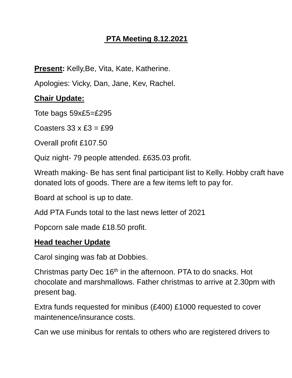# **PTA Meeting 8.12.2021**

**Present:** Kelly, Be, Vita, Kate, Katherine.

Apologies: Vicky, Dan, Jane, Kev, Rachel.

## **Chair Update:**

Tote bags 59x£5=£295

Coasters  $33 \times £3 = £99$ 

Overall profit £107.50

Quiz night- 79 people attended. £635.03 profit.

Wreath making- Be has sent final participant list to Kelly. Hobby craft have donated lots of goods. There are a few items left to pay for.

Board at school is up to date.

Add PTA Funds total to the last news letter of 2021

Popcorn sale made £18.50 profit.

#### **Head teacher Update**

Carol singing was fab at Dobbies.

Christmas party Dec 16<sup>th</sup> in the afternoon. PTA to do snacks. Hot chocolate and marshmallows. Father christmas to arrive at 2.30pm with present bag.

Extra funds requested for minibus (£400) £1000 requested to cover maintenence/insurance costs.

Can we use minibus for rentals to others who are registered drivers to